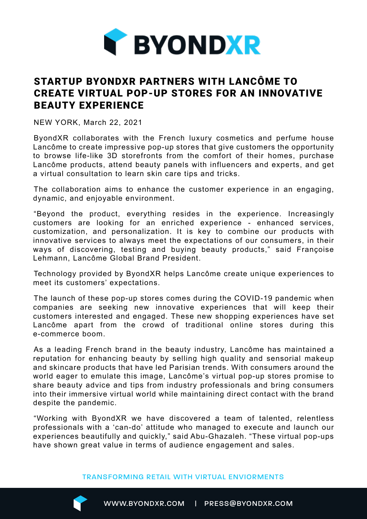

## STARTUP BYONDXR PARTNERS WITH LANCÔME TO CREATE VIRTUAL POP-UP STORES FOR AN INNOVATIVE BEAUTY EXPERIENCE

NEW YORK, March 22, 2021

ByondXR collaborates with the French luxury cosmetics and perfume house Lancôme to create impressive pop-up stores that give customers the opportunity to browse life-like 3D storefronts from the comfort of their homes, purchase Lancôme products, attend beauty panels with influencers and experts, and get a virtual consultation to learn skin care tips and tricks.

The collaboration aims to enhance the customer experience in an engaging, dynamic, and enjoyable environment.

"Beyond the product, everything resides in the experience. Increasingly customers are looking for an enriched experience - enhanced services, customization, and personalization. It is key to combine our products with innovative services to always meet the expectations of our consumers, in their ways of discovering, testing and buying beauty products," said Françoise Lehmann, Lancôme Global Brand President.

Technology provided by ByondXR helps Lancôme create unique experiences to meet its customers' expectations.

The launch of these pop-up stores comes during the COVID-19 pandemic when companies are seeking new innovative experiences that will keep their customers interested and engaged. These new shopping experiences have set Lancôme apart from the crowd of traditional online stores during this e-commerce boom.

As a leading French brand in the beauty industry, Lancôme has maintained a reputation for enhancing beauty by selling high quality and sensorial makeup and skincare products that have led Parisian trends. With consumers around the world eager to emulate this image, Lancôme's virtual pop-up stores promise to share beauty advice and tips from industry professionals and bring consumers into their immersive virtual world while maintaining direct contact with the brand despite the pandemic.

"Working with ByondXR we have discovered a team of talented, relentless professionals with a 'can-do' attitude who managed to execute and launch our experiences beautifully and quickly," said Abu-Ghazaleh. "These virtual pop-ups have shown great value in terms of audience engagement and sales.

TRANSFORMING RETAIL WITH VIRTUAL ENVIORMENTS